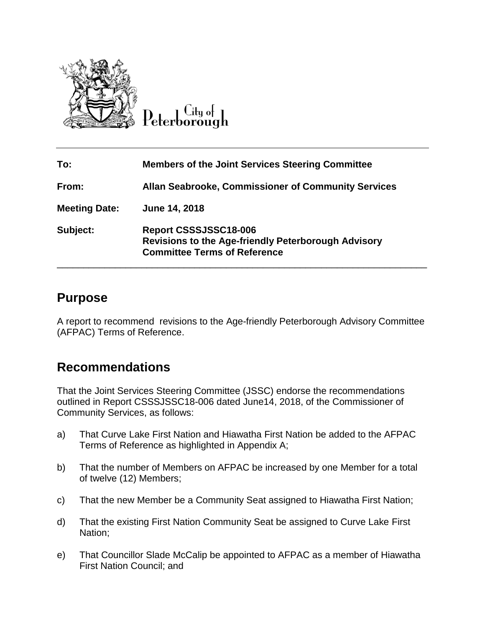

 $\rm{C}_{\rm{H}$ y o $\sim$ 

| To:                  | <b>Members of the Joint Services Steering Committee</b>                                                                    |
|----------------------|----------------------------------------------------------------------------------------------------------------------------|
| From:                | <b>Allan Seabrooke, Commissioner of Community Services</b>                                                                 |
| <b>Meeting Date:</b> | June 14, 2018                                                                                                              |
| Subject:             | Report CSSSJSSC18-006<br><b>Revisions to the Age-friendly Peterborough Advisory</b><br><b>Committee Terms of Reference</b> |

## **Purpose**

A report to recommend revisions to the Age-friendly Peterborough Advisory Committee (AFPAC) Terms of Reference.

## **Recommendations**

That the Joint Services Steering Committee (JSSC) endorse the recommendations outlined in Report CSSSJSSC18-006 dated June14, 2018, of the Commissioner of Community Services, as follows:

- a) That Curve Lake First Nation and Hiawatha First Nation be added to the AFPAC Terms of Reference as highlighted in Appendix A;
- b) That the number of Members on AFPAC be increased by one Member for a total of twelve (12) Members;
- c) That the new Member be a Community Seat assigned to Hiawatha First Nation;
- d) That the existing First Nation Community Seat be assigned to Curve Lake First Nation;
- e) That Councillor Slade McCalip be appointed to AFPAC as a member of Hiawatha First Nation Council; and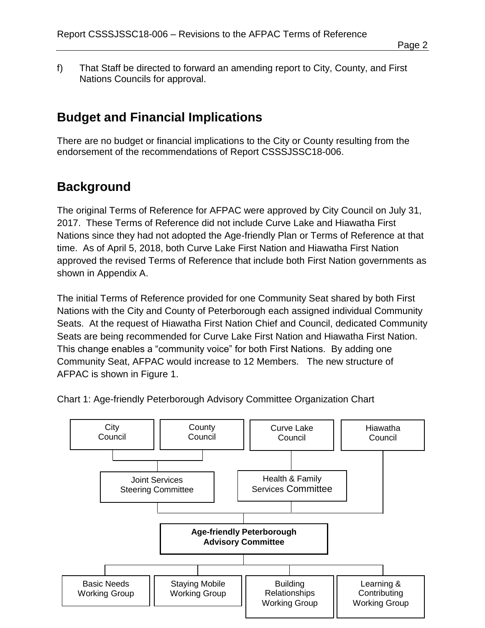f) That Staff be directed to forward an amending report to City, County, and First Nations Councils for approval.

## **Budget and Financial Implications**

There are no budget or financial implications to the City or County resulting from the endorsement of the recommendations of Report CSSSJSSC18-006.

## **Background**

The original Terms of Reference for AFPAC were approved by City Council on July 31, 2017. These Terms of Reference did not include Curve Lake and Hiawatha First Nations since they had not adopted the Age-friendly Plan or Terms of Reference at that time. As of April 5, 2018, both Curve Lake First Nation and Hiawatha First Nation approved the revised Terms of Reference that include both First Nation governments as shown in Appendix A.

The initial Terms of Reference provided for one Community Seat shared by both First Nations with the City and County of Peterborough each assigned individual Community Seats. At the request of Hiawatha First Nation Chief and Council, dedicated Community Seats are being recommended for Curve Lake First Nation and Hiawatha First Nation. This change enables a "community voice" for both First Nations. By adding one Community Seat, AFPAC would increase to 12 Members. The new structure of AFPAC is shown in Figure 1.



Chart 1: Age-friendly Peterborough Advisory Committee Organization Chart